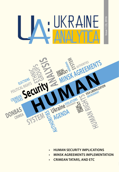# · UKRAINE

Issue 1 (3), 2016

Issue 1 (3), 2016



- **• HUMAN SECURITY IMPLICATIONS**
- **• MINSK AGREEMENTS IMPLEMENTATION**
- **• CRIMEAN TATARS, AND ETC**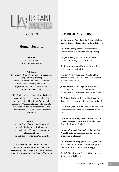# UKRAINE

Issue 1 (3), 2016

# **Human Security**

**Editors**

Dr. Hanna Shelest Dr. Mykola Kapitonenko

# **Publisher:**

Published by NGO "Promotion of Intercultural Cooperation" (Ukraine), Centre of International Studies (Ukraine), with the financial support of the Representation of the Friedrich Ebert Foundation in Ukraine.

UA: Ukraine Analytica is the first Ukrainian academic/analytical journal in English on International Relations, Politics and Economics. The journal is aimed for experts, diplomats, academics, students interested in the international relations and Ukraine in particular.

#### **Contacts:**

website: http://ukraine-analytica.org/ e-mail: Ukraine\_analytica@ukr.net Facebook: https://www.facebook.com/ ukraineanalytica Twitter: https://twitter.com/UA\_Analytica

The views and opinions expressed in articles are those of the authors and do not necessarily reflect the position of UA: Ukraine Analytica or its editors and Board of Advisors

# **BOARD OF ADVISERS**

*Dr. Dimitar Bechev* (Bulgaria, Research fellow, London School of Economics and Social Science)

*Dr. Iulian Chif*u (Romania, Director of the Conflict Analysis and Early Warning Center)

*Dr. Igor Koval* (Ukraine, Rector of Odessa National University by I.I. Mechnikov)

*Dr. Sergey Minasyan* (Armenia, Deputy Director at the Caucasus Institute)

*Stephan Meuser* (Germany, Director of the Representation of the Friedrich Ebert Foundation in Ukraine and Belarus)

*James Nixey* (United Kingdom, Head of the Russia and Eurasia Programme at Chatham House, the Royal Institute of International Affairs)

*Dr. Róbert Ondrejcsák* (Slovakia, Director of Center for European and North Atlantic Affairs)

*H.E., Dr. Oleg Shamshur* (Ukraine, Ambassador Extraordinary and Plenipotentiary of Ukraine to France)

*Dr. Stephan De Spiegeleire* (The Netherlands, Director Defence Transformation at The Hague Center for Strategic Studies)

*Ivanna Klympush-Tsintsadze* (Ukraine, Vice-Prime Minister on European and Euroatlantic Integration of Ukraine)

*Dr. Dimitris Triantaphyllou* (Greece, Director of the Center for International and European Studies, Kadir Has University (Turkey))

*Dr. Asle Toje* (Norway, Research Director at the Norwegian Nobel Institute)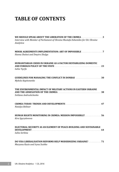# **TABLE OF CONTENTS**

| WE SHOULD SPEAK ABOUT THE LIBERATION OF THE CRIMEA. 3<br>Interview with Member of Parliament of Ukraine Mustafa Dzhemilev for UA: Ukraine<br>Analytica |
|--------------------------------------------------------------------------------------------------------------------------------------------------------|
| MINSK AGREEMENTS IMPLEMENTATION: ART OF IMPOSSIBLE 7<br>Hanna Shelest and Dmytro Shulga                                                                |
| HUMANITARIAN CRISIS IN UKRAINE AS A FACTOR DESTABILIZING DOMESTIC<br>Iuliia Tsyrfa                                                                     |
| <b>GUIDELINES FOR MANAGING THE CONFLICT IN DONBAS</b> 30<br>Mykola Kapitonenko                                                                         |
| THE ENVIRONMENTAL IMPACT OF MILITARY ACTIONS IN EASTERN UKRAINE<br>Svitlana Andrushchenko                                                              |
| Natalya Belitser                                                                                                                                       |
| HUMAN RIGHTS MONITORING IN CRIMEA: MISSION IMPOSSIBLE?  56<br>Kira Spyrydonova                                                                         |
| ELECTORAL SECURITY AS AN ELEMENT OF PEACE-BUILDING AND SUSTAINABLE<br>Iulija Serbina                                                                   |
| <b>DO VISA LIBERALISATION REFORMS HELP MODERNIZING UKRAINE?</b> 71<br>Maryana Kuzio and Iryna Sushko                                                   |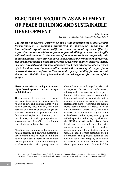# **ELECTORAL SECURITY AS AN ELEMENT OF PEACE-BUILDING AND SUSTAINABLE DEVELOPMENT**

#### *Iuliia Serbina*

*Board Member, Foreign Policy Council "Ukrainian Prism"*

*The concept of electoral security as one of the prerequisites of post-conflict transformations is becoming widespread in operational documents of international organizations (UN) and some national agencies (USAID), expressing the responsibility to promote peace-building activities in a fragile political environment. In the context of human rights based approach, this concept assumes a special meaning for democratic transformations and reforms. It is strongly connected with such concepts as electoral conflict, electoral justice, electoral integrity, and transitional justice. The broad international experience of electoral security implementation enables the search of strategies for a consistent electoral reform in Ukraine and capacity building for elections at the uncontrolled districts of Donetsk and Luhansk regions after the end of the conflict.* 

### **Electoral security in the light of human rights based approach: main concepts and definitions**

The concept of electoral security is one of the main dimensions of human security related to civil and political rights. While human security does not only mean the absence of a conflict or direct danger, but also the protection of people and their fundamental rights and freedoms, in a broad sense, it is both a prerequisite and a consequence of conflict reconciliation, peace building and peacekeeping.

Meantime, contemporary understanding of human security and ensuring sustainable development needs to bear in mind the human rights based approach as one of the leading paradigms. While the majority of scholars consider such a "young" term as

electoral security with regard to electoral management bodies, law enforcement, military and other security entities, peace building initiatives, women, community leaders, and robust formal and alternative dispute resolution mechanisms are not factored into plans".<sup>1</sup> Meantime, the human rights based approach enables a focus on environment where all citizens can exercise their fundamental right to vote or be elected. In this regard, we may agree with the position of the analysts, who insist that HRBA to election-related issues "can help inform the type and scope of security planning undertaken. It helps crystallize exactly what must be protected, which in turn can shape how this protection should be provided. This approach demands that when we look at the integrity of elections we consider the ability of people to exercise their rights to ensure that "the will of the

<sup>&</sup>lt;sup>1</sup> Best Practices in Electoral Security. A Guide for Democracy, Human rights and Governance Programming / USAID, 2013 https://www.usaid.gov/sites/default/files/documents/2496/Electoral\_Security\_Best\_Practices\_USAID.pdf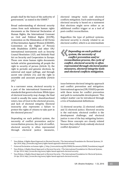people shall be the basis of the authority of government," as stated in the UDHR".<sup>2</sup>

Broad understanding of electoral security comes from such milestone human rights documents as the Universal Declaration of Human Rights, the International Covenant on Civil and Political Rights (ICCPR), Convention on the Elimination of All Forms of Discrimination Against Women (CEDAW), Convention on the Rights of Persons with Disabilities (CRPD) and other UN/ international instruments such as Security Council Resolution 1325, and Helsinki Final Act on Security and Cooperation in Europe. These core stone human rights documents include articles guaranteeing all people the right to security of person (Article 3); the right to periodic and genuine elections, by universal and equal suffrage, and through secret vote (Article 21); and the right to assemble and associate peacefully (Article  $20$ <sup>3</sup>

In a narrower sense, electoral security is a part of the international framework of standards that govern elections. While types of electoral insecurity may change, the final result is usually the same: disenfranchised voters, loss of trust in the electoral process, and lack of electoral integrity. Electoral insecurity also represents a failure to protect the rights of citizens to take part in the electoral process.4

Depending on each political system, the necessity of conflict prevention and/or reconciliation process, the cycle of conflict, electoral security is often represented<br>through electoral justice measures. electoral justice

electoral integrity tools and electoral conflicts mitigation. Such understanding of electoral security is based on a statement that elections might serve either as an additional conflict trigger or as a tool of post-conflict reconciliation.

Regardless the type of political systems, electoral security is closely related to an electoral conflict, which is an intermediate

**«***Depending on each political system, the necessity of conflict prevention and/or reconciliation process, the cycle of conflict, electoral security is often represented through electoral justice measures, electoral integrity tools and electoral conflicts mitigation.* 

issue between electoral integrity approach and conflict prevention and mitigation. International agencies (UN, USAID) operate with these terms for conflict prevention and path to sustainable development. This subject matter can be introduced through a trio of fundamental definitions:

1) electoral security; 2) electoral conflict; and 3) electoral justice. Electoral security is the end-state; electoral conflict is the development challenge; and electoral justice is one of the key mitigating factors. These three concepts are closely related because they collectively embody electoral conflict dynamics.<sup>5</sup>

<sup>&</sup>lt;sup>2</sup> Vasu Mohan, A Rights-Based Approach to Electoral Security / The International Foundation for Electoral Systems, 24 Apr 2014, http://www.ifes.org/news/rights-based-approach-electoral-security

<sup>3</sup> Universal Declaration on human rights // http://www.ohchr.org/EN/UDHR/Documents/UDHR\_Translations/eng.pdf

<sup>4</sup> Vasu Mohan, A Rights-Based Approach to Electoral Security / The International Foundation for Electoral Systems, 24 Apr 2014, http://www.ifes.org/news/rights-based-approach-electoral-security

<sup>5</sup> Vasu Mohan, A Rights-Based Approach to Electoral Security / The International Foundation for Electoral Systems, 24 Apr 2014, http://www.ifes.org/news/rights-based-approach-electoral-security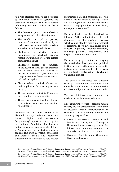As a rule, electoral conflicts can be caused by numerous reasons of systemic and occasional character. The main factors influencing electoral conflicts can be as follows:

- The absence of public trust in elections as a process and political institutions;
- The conflicts of political parties/ candidates' nomination and ability to perform passive electoral rights, especially stipulated by the law on elections;
- Challenges to election results<br>(significance of electoral disputes) (significance of electoral resolution, timelines of election-related complaints lodging);
- Challenges related to campaign financing, which need precise attention and detailed monitoring during all phases of electoral cycle while the irregularities pose the serious reason for political corruption;
- Election related criminal offences and their implication for ensuring electoral integrity;
- The sociocultural context itself may pose the ground for electoral conflicts;
- The absence of capacities for sufficient civic raising awareness on electionrelated issues.

According to the "Best Practices in Electoral Security Guide for Democracy,<br>Human Rights and Governance Governance Programming" report produced by the International Foundation for Electoral Systems, electoral security can be defined as "…the process of protecting electoral stakeholders such as voters, candidates, poll workers, media, and observers; electoral information such as vote results,

registration data, and campaign material; electoral facilities such as polling stations and counting centres; and electoral events such as campaign rallies against death, damage, or disruption".<sup>6</sup>

Electoral justice can be described as<br>follows. "...the adiudication of civil "...the adjudication of civil challenges to the electoral process which can be filed by voters and political contestants. These civil challenges could concern eligibility, disenfranchisement, campaign practices, irregularities, and disputed outcomes among others."

Electoral integrity is a tool for shaping the sustainable development of political institutions, strengthening of democratic tutions, engagement of<br>political participation ( in political participation (including vulnerable groups).<sup>7</sup>

The choice of measures for electoral<br>security components implementation implementation depends on the context, but the necessity of citizen's full protection is without doubt.

The role of international community in electoral security acknowledgement

Like in many other issues concerning human security, the role of international community in electoral security implementation is significant. The responsibility to protect and assist may vary as follows:

- Electoral supervision (Namibia and Bosnia and Herzegovina). Through a UN resolution or peace agreement, the international community is requested to supervise elections or referendum;
- Electoral Administration (Cambodia, East Timor, Kosovo);

<sup>&</sup>lt;sup>6</sup> Best Practices in Electoral Security . A Guide for Democracy, Human rights and Governance Programming / USAID, 2013 https://www.usaid.gov/sites/default/files/documents/2496/Electoral\_Security\_Best\_Practices\_USAID.pdf

<sup>&</sup>lt;sup>7</sup> Best Practices in Electoral Security . A Guide for Democracy, Human rights and Governance Programming / USAID, 2013 https://www.usaid.gov/sites/default/files/documents/2496/Electoral\_Security\_Best\_Practices\_USAID.pdf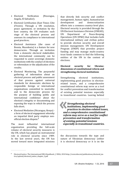- Electoral Verification (Nicaragua, Angola, El Salvador);
- Electoral Certification (East Timor, Côte d'Ivoire). Through a UN resolution, peace agreement, or invitation by the host country, the UN evaluates each stage of the electoral process and assesses its compliance to international good practices;
- Electoral Assistance (the cases of Bosnia, Macedonia) is a feature for new democracies. Through an invitation from a domestic electoral stakeholder, the international community can be requested to assist sovereign domestic institutions with the conduct of elections or referendum or the adjudication of the results;
- Electoral Monitoring. The purposeful gathering of information about an electoral process and public assessment of that process against universal standards for democratic elections by responsible foreign or international organizations committed to neutrality and to the democratic process for the purpose of building public and international confidence about the election's integrity or documenting and exposing the ways in which the process falls short;
- Electoral Mediation (Nicaragua, Kenya) a form of electoral engagement whereby an impartial third party employs nonofficial election dispute.<sup>8</sup>

The most influential international organization providing the full-scale volume of electoral security measures is the UN, which has played an instrumental role in electoral security since 1989. In the last several years, the UN has moved toward more integrated missions that directly link security and conflict management, human rights, humanitarian<br>development and democratization democratization efforts into a common country-level plan. Electoral security is provided through the UN Electoral Assistance Division (UNEAD),<br>UN Department of Peace-Keeping Peace-Keeping Operations (UN DPKO) that includes both international military and civilian police to provide election security and overall mission management; UN Development Program (UNDP) that provides project funding and may manage multi-country trust funds common to find the following entities of the UN in the context of elections.

# **Electoral security for Ukraine: dimensions of constitutional reform and strengthening electoral institutions**

Strengthening electoral institutions, implementing good practices in electionrelated issues, and a comprehensive constitutional reform may serve as a tool for conflict prevention and transformation of existing potential tensions especially in transitional countries. Leaving behind

**«***Strengthening electoral institutions, implementing good practices in election-related issues, and a comprehensive constitutional reform may serve as a tool for conflict prevention and transformation of existing potential tensions especially in transitional countries.* 

the discussions towards the type and nature of Ukrainian democracy (either it is electoral democracy or it is on the

<sup>8</sup> Electoral Justice: The International IDEA Handbook // IDEA, 2010 http://www.idea.int/publications/electoral\_justice/upload/electoral\_justice\_chapter\_2.pdf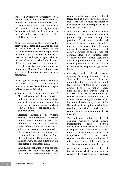way to participatory democracy), it is obvious that sustainable development of political institutions needs reforms and harmonization. In this regard, the electoral reform, which has been broadly discussed for almost a decade in Ukraine, can be a part of conflict prevention and conflict resolution measures.

Meantime, military conflict in uncontrolled districts of Donetsk and Luhansk regions, the annexation of the Crimea by the Russian Federation have their implications for other regions of Ukraine, which, in their turn, need special approaches to promote electoral security. Some elements of international assistance as a tool for electoral security implementation are practiced in Ukraine. Among them, there are electoral monitoring and electoral assistance.

In the light of existing electoral conflicts, the most essential risks for electoral security inherited by each electoral cycle in Ukraine are as following:

- Specifics of "institutional memory". Electoral system of Ukraine functions in the context of "institutional heritage" and institutional memory where the order of performing certain functions is replaced by personal, regional, intergroups relations.
- Electoral legislation in Ukraine<br>remains non-harmonized Elections remains non-harmonized to the bodies of different levels and different institutions are conducted under different laws. Each new law, in spite of permanent recommendations<br>of international organizations and of international organizations recommendations of the Code of Good Electoral Practice (Venice Commission Code) is always adopted in less than one year before elections take place.
- Constituency delimitation changes each electoral cycle. Very often borders and the number of voters are the matter of the

compromise between leading political forces drafting a law. This increases the lack of trust in elections transparency and leads to public disappointment in transparency of elections.

- While the majority of Ukrainian media belongs to the leaders of financial groups, they represent mainly the positions of their owners in electoral process. It is very often that public outreach campaigns for Ukrainian journalists, provided by domestic civil society organizations and international donors, are focused on technical aspects of newly adopted electoral legislation and its' implementation. Meantime, the broader perception of elections as one of the core civil and political rights is left behind.
- Campaign and political parties financing for a long time remain in a shadow that creates a large field for money laundering. It should be noted that the Law of Ukraine on Fighting against Political Corruption (State financing of Political Parties) adopted in 2015, creates certain conditions for combating political corruption and, in its turn, strengthening electoral security. Meantime, the continuing process of the National Anti-corruption mechanisms creation is a serious obstacle for the comprehensive implementation of this measure.
- The ambiguous system of electoral<br>disputes resolution, which allows disputes resolution, which<br>implementing bodies (e implementing bodies (election management bodies, courts of different levels) to adopt completely different decisions in similar cases of electoral<br>irregularities. This issue creates irregularities. concerns for elections to the bodies of different levels and is inherited in each new law on national or local elections.
- Avoidance of responsibility for electoral law violations, which, on one hand, is caused by the level of electoral culture,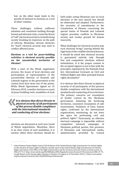but, on the other hand, leads to the growth of mistrust in elections as a tool of elites' rotation.

These challenges, without sufficient attention and consistent tackling through formal and informal rules, create the threat of "soft" electoral security in a transforming society breaking its trajectory on the path of reforms. Meantime, obvious obstacles for "hard" electoral security may exist in conflict-affected areas.

# **Elections as a tool for peace-building activities: is electoral security possible on the uncontrolled territories of Ukraine?**

With a start of the Minsk negotiation process, the issues of local elections and participation of representatives of the uncontrolled districts of Donetsk and Luhansk regions in the government at the central level have been one of the points. While Minsk Agreements signed on 15 February 2015, consider elections as a part of peace-building tools, modalities of such

*It is obvious that direct threats to physical security of all participant of this process disable compliance physical security of all participants of this process disable compliance with the international standards and conducting of true elections.* 

elections are discussed at each new round of Minsk negotiations. Meantime, there is no clear vision of such modalities, it is unclear either these elections should be held under acting Ukrainian Law on local elections or the new special law should be elaborated and adopted. Furthermore, the necessity of amendments to the Constitution of Ukraine concerning the special status of Donetsk and Luhansk regions provokes conflicts in Ukrainian society and creates ground for human insecurity.

What challenges for electoral security may such elections bring? Leaving behind the legal basis of the credible electoral process, it should be noted that electoral security is guaranteed entirely only through free and competitive elections without intimidation. Is it the proper context in the occupied regions to act in line with the principles stipulated by the Helsinki Final Act, International Covenant on Civil and Political Rights and other principal human rights documents?

It is obvious that direct threats to physical security of all participants of this process disable compliance with the international standards and conducting of true elections. The primary concerns are resumption of border control by the Ukrainian government, demining the bordering territories, consistent resumption of safe environment. Violations of basic human rights, confirmed by the international organizations monitoring, do not leave the space for performing civil and political rights.9 Particularly, an effective electoral campaign is impossible without<br>competitive outreach campaigns of competitive Ukrainian political parties, free presence of Ukrainian and international media, administration provided by trained

<sup>9</sup> United Nations Human Rights Council (2014) Report of the United Nations High Commissioner for Human Rights on the situation of human rights in Ukraine, Annual report of the United Nations High Commissioner for Human Rights and reports of the Office of the High Commissioner and the Secretary-General, Twenty-seventh session, A/ HRC/27/75 // http://www.ohchr.org/EN/HRBodies/HRC/RegularSessions/Session27/Documents/A-HRC-27-75\_ en.pdf; Report on the human rights situation in Ukraine (16 August to 15 November 2015) // http://www.ohchr. org/Documents/Countries/UA/12thOHCHRreportUkraine.pdf